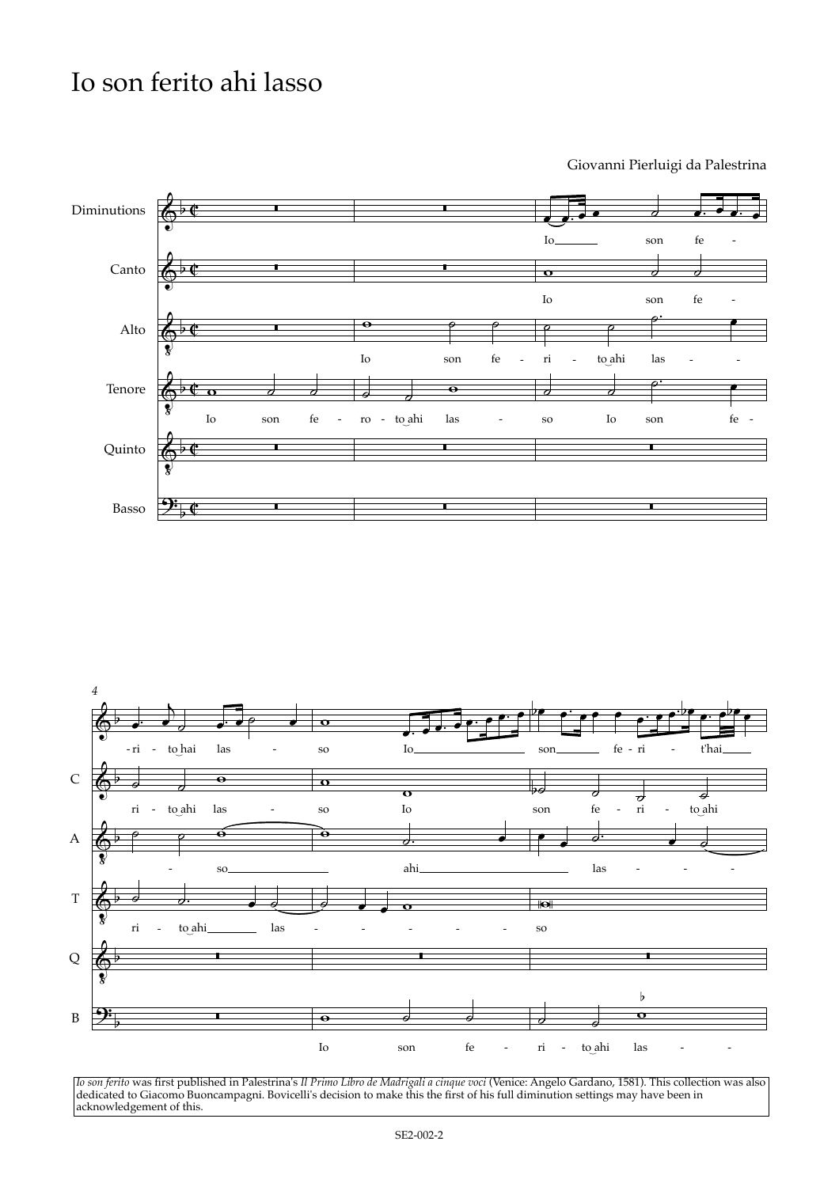## Io son ferito ahi lasso

Giovanni Pierluigi da Palestrina





To son ferito was first published in Palestrina's Il Primo Libro de Madrigali a cinque voci (Venice: Angelo Gardano, 1581). This collection was also dedicated to Giacomo Buoncampagni. Bovicelli's decision to make this the acknowledgement of this.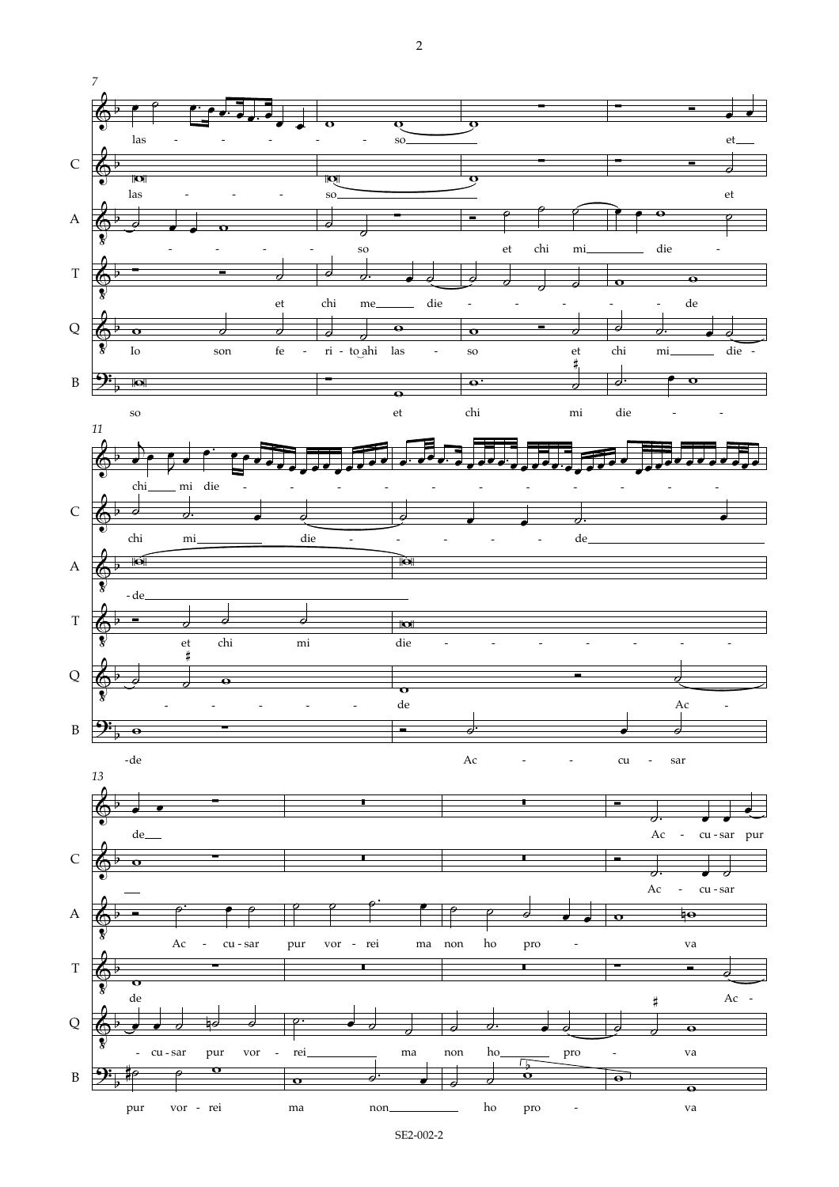

 $\overline{2}$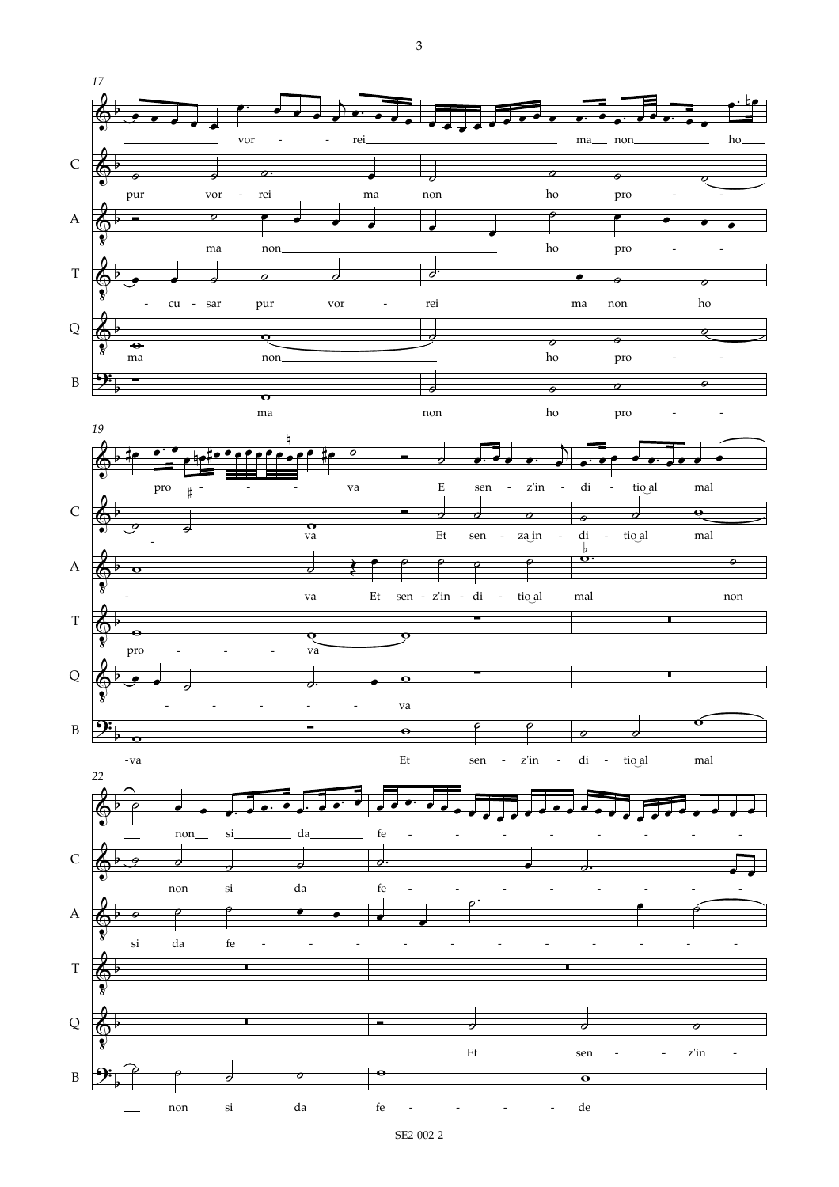

 $\overline{3}$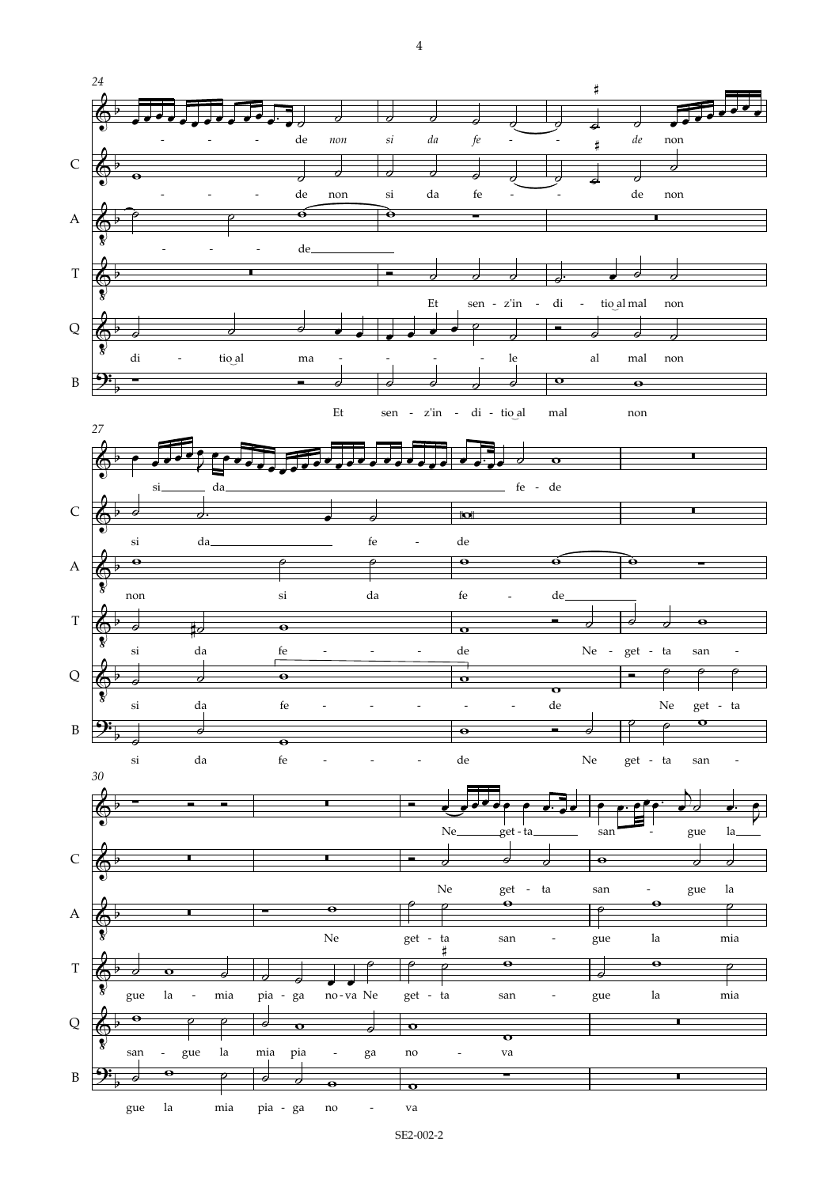

 $\overline{4}$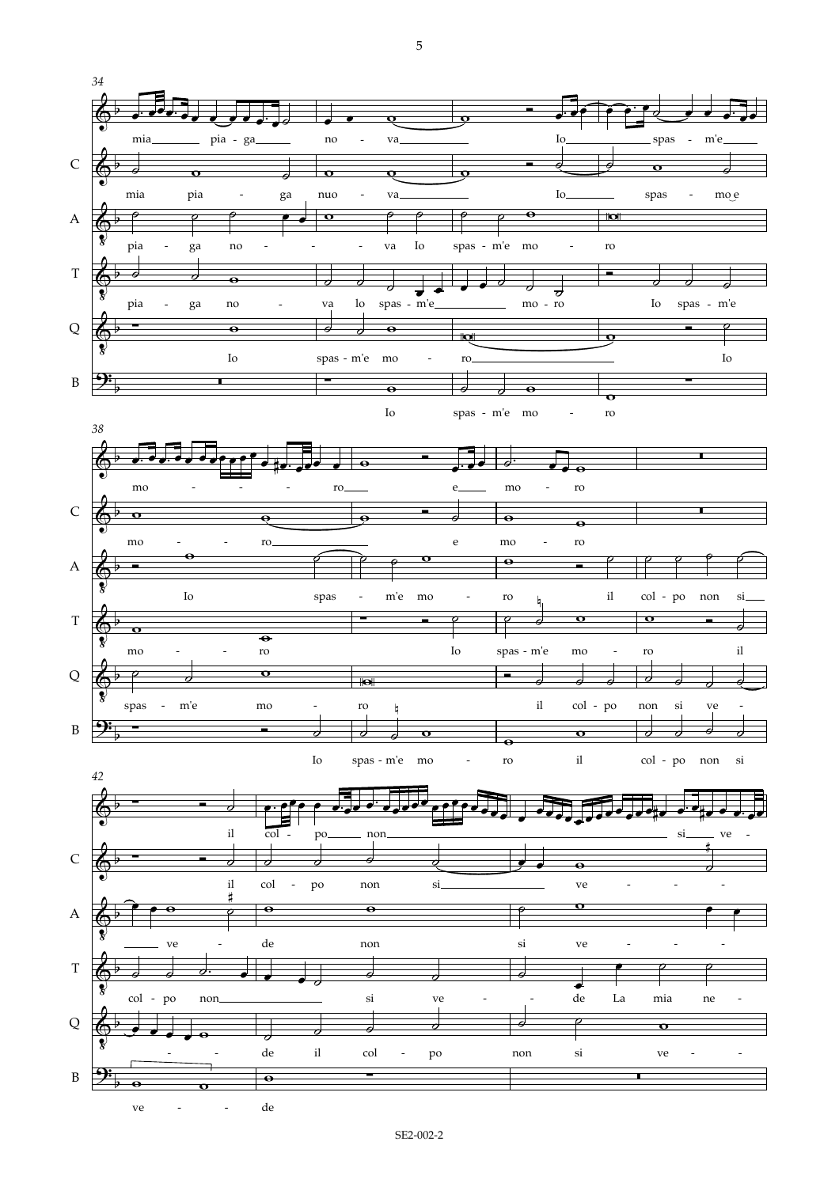

ve - - de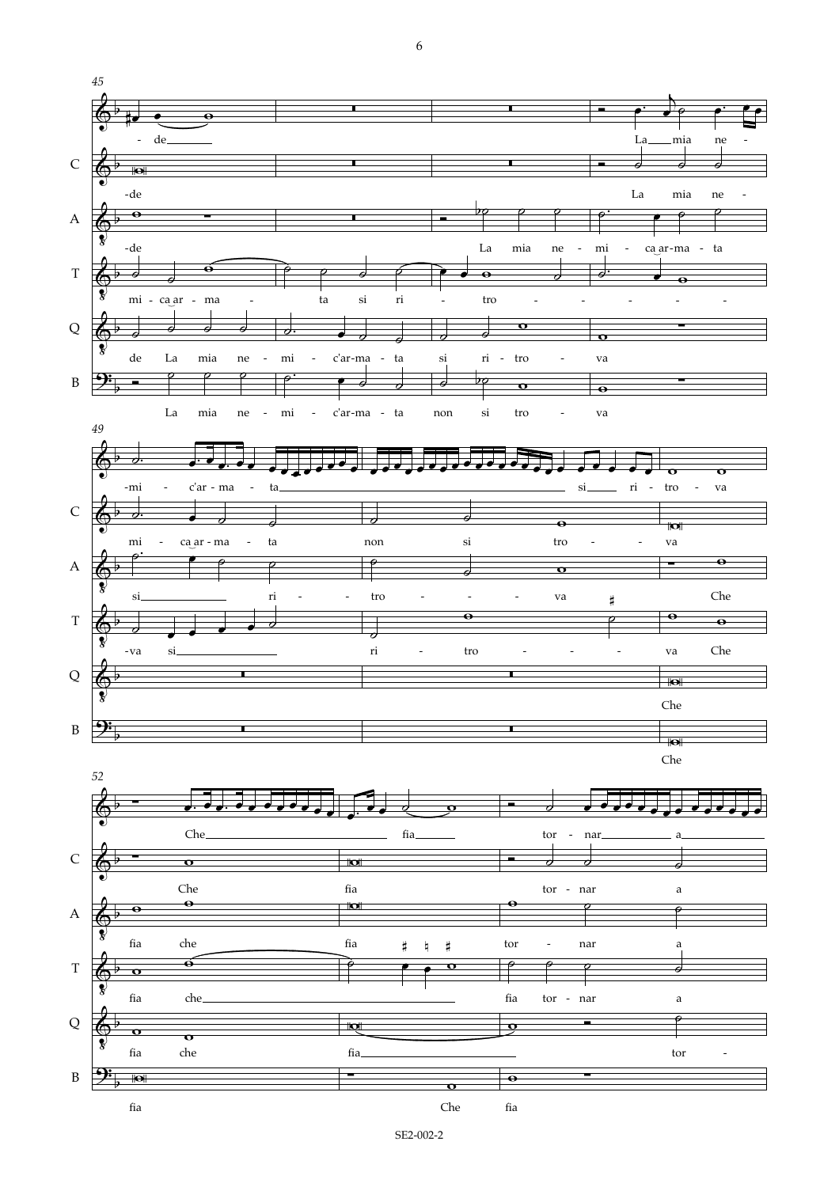

 $\overline{6}$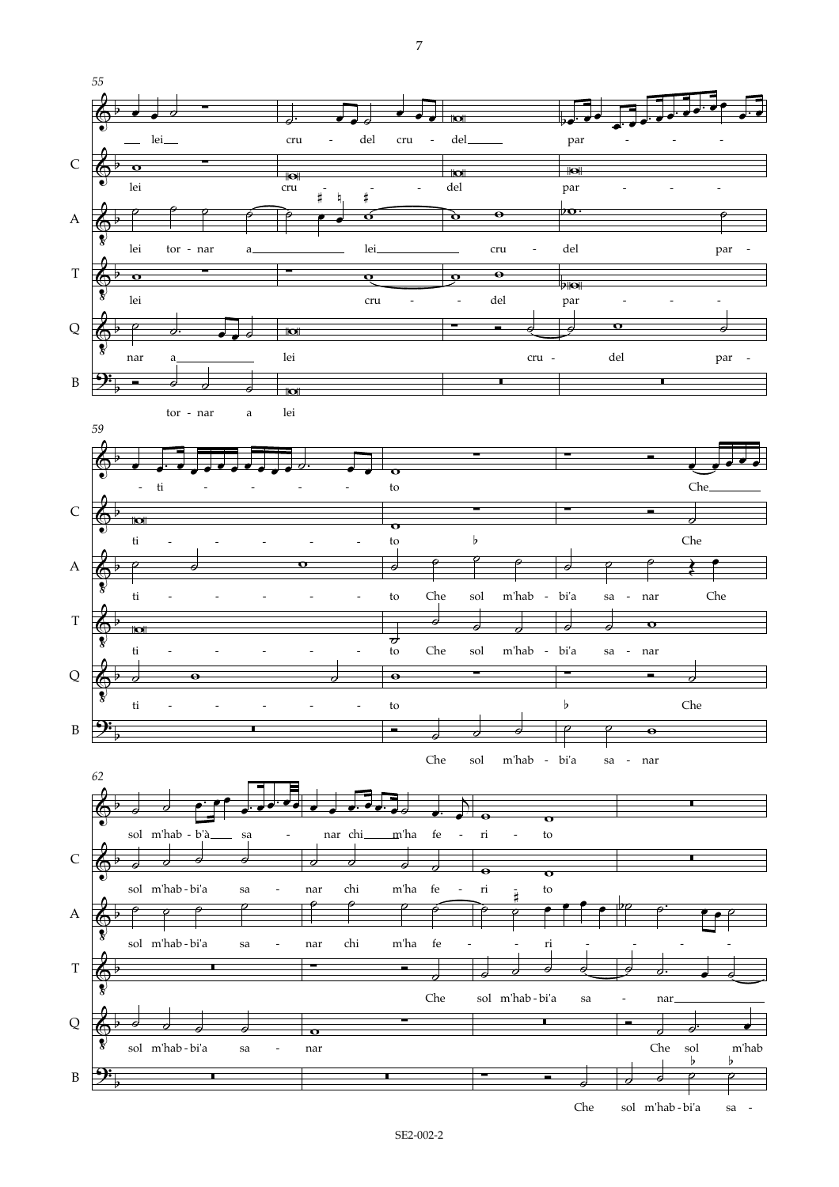

 ${\rm Che}$ sol m'hab-bi'a  ${\rm sa}$  $\mathcal{A}$